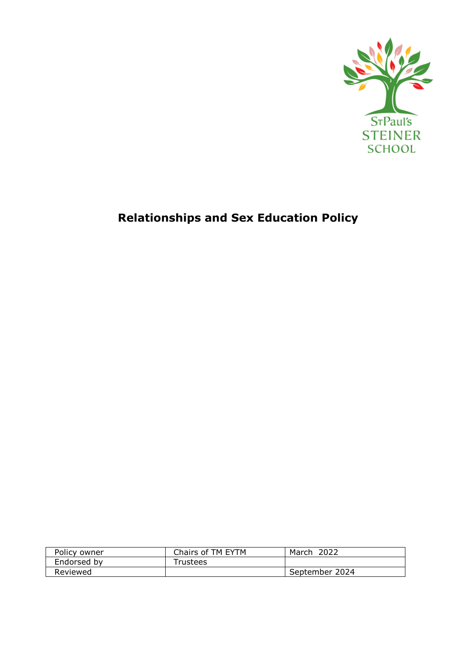

# **Relationships and Sex Education Policy**

| Policy owner | Chairs of TM EYTM    | 2022<br>March  |
|--------------|----------------------|----------------|
| Endorsed by  | <sup>-</sup> rustees |                |
| Reviewed     |                      | September 2024 |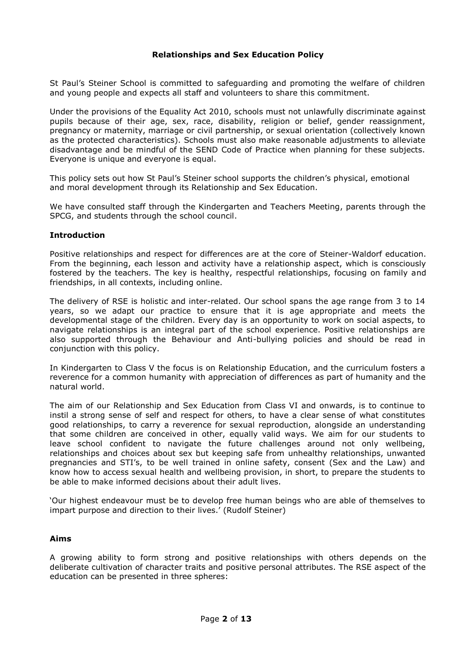## **Relationships and Sex Education Policy**

St Paul's Steiner School is committed to safeguarding and promoting the welfare of children and young people and expects all staff and volunteers to share this commitment.

Under the provisions of the Equality Act 2010, schools must not unlawfully discriminate against pupils because of their age, sex, race, disability, religion or belief, gender reassignment, pregnancy or maternity, marriage or civil partnership, or sexual orientation (collectively known as the protected characteristics). Schools must also make reasonable adjustments to alleviate disadvantage and be mindful of the SEND Code of Practice when planning for these subjects. Everyone is unique and everyone is equal.

This policy sets out how St Paul's Steiner school supports the children's physical, emotional and moral development through its Relationship and Sex Education.

We have consulted staff through the Kindergarten and Teachers Meeting, parents through the SPCG, and students through the school council.

### **Introduction**

Positive relationships and respect for differences are at the core of Steiner-Waldorf education. From the beginning, each lesson and activity have a relationship aspect, which is consciously fostered by the teachers. The key is healthy, respectful relationships, focusing on family and friendships, in all contexts, including online.

The delivery of RSE is holistic and inter-related. Our school spans the age range from 3 to 14 years, so we adapt our practice to ensure that it is age appropriate and meets the developmental stage of the children. Every day is an opportunity to work on social aspects, to navigate relationships is an integral part of the school experience. Positive relationships are also supported through the Behaviour and Anti-bullying policies and should be read in conjunction with this policy.

In Kindergarten to Class V the focus is on Relationship Education, and the curriculum fosters a reverence for a common humanity with appreciation of differences as part of humanity and the natural world.

The aim of our Relationship and Sex Education from Class VI and onwards, is to continue to instil a strong sense of self and respect for others, to have a clear sense of what constitutes good relationships, to carry a reverence for sexual reproduction, alongside an understanding that some children are conceived in other, equally valid ways. We aim for our students to leave school confident to navigate the future challenges around not only wellbeing, relationships and choices about sex but keeping safe from unhealthy relationships, unwanted pregnancies and STI's, to be well trained in online safety, consent (Sex and the Law) and know how to access sexual health and wellbeing provision, in short, to prepare the students to be able to make informed decisions about their adult lives.

'Our highest endeavour must be to develop free human beings who are able of themselves to impart purpose and direction to their lives.' (Rudolf Steiner)

### **Aims**

A growing ability to form strong and positive relationships with others depends on the deliberate cultivation of character traits and positive personal attributes. The RSE aspect of the education can be presented in three spheres: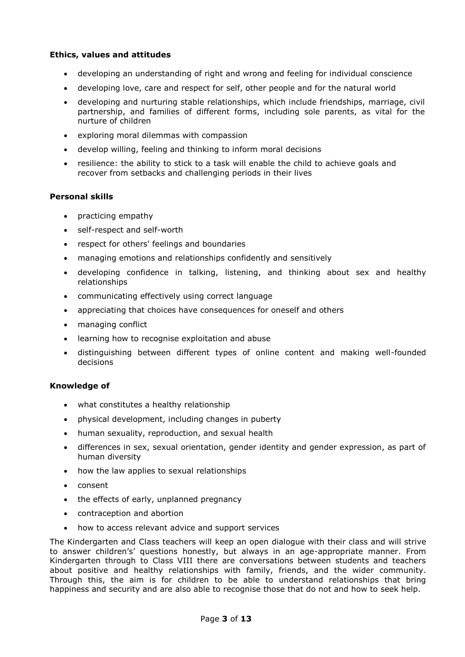## **Ethics, values and attitudes**

- developing an understanding of right and wrong and feeling for individual conscience
- developing love, care and respect for self, other people and for the natural world
- developing and nurturing stable relationships, which include friendships, marriage, civil partnership, and families of different forms, including sole parents, as vital for the nurture of children
- exploring moral dilemmas with compassion
- develop willing, feeling and thinking to inform moral decisions
- resilience: the ability to stick to a task will enable the child to achieve goals and recover from setbacks and challenging periods in their lives

### **Personal skills**

- practicing empathy
- self-respect and self-worth
- respect for others' feelings and boundaries
- managing emotions and relationships confidently and sensitively
- developing confidence in talking, listening, and thinking about sex and healthy relationships
- communicating effectively using correct language
- appreciating that choices have consequences for oneself and others
- managing conflict
- learning how to recognise exploitation and abuse
- distinguishing between different types of online content and making well-founded decisions

### **Knowledge of**

- what constitutes a healthy relationship
- physical development, including changes in puberty
- human sexuality, reproduction, and sexual health
- differences in sex, sexual orientation, gender identity and gender expression, as part of human diversity
- how the law applies to sexual relationships
- consent
- the effects of early, unplanned pregnancy
- contraception and abortion
- how to access relevant advice and support services

The Kindergarten and Class teachers will keep an open dialogue with their class and will strive to answer children's' questions honestly, but always in an age-appropriate manner. From Kindergarten through to Class VIII there are conversations between students and teachers about positive and healthy relationships with family, friends, and the wider community. Through this, the aim is for children to be able to understand relationships that bring happiness and security and are also able to recognise those that do not and how to seek help.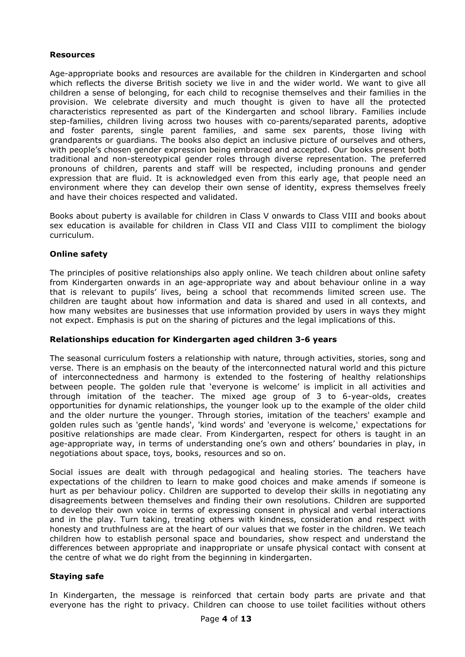## **Resources**

Age-appropriate books and resources are available for the children in Kindergarten and school which reflects the diverse British society we live in and the wider world. We want to give all children a sense of belonging, for each child to recognise themselves and their families in the provision. We celebrate diversity and much thought is given to have all the protected characteristics represented as part of the Kindergarten and school library. Families include step-families, children living across two houses with co-parents/separated parents, adoptive and foster parents, single parent families, and same sex parents, those living with grandparents or guardians. The books also depict an inclusive picture of ourselves and others, with people's chosen gender expression being embraced and accepted. Our books present both traditional and non-stereotypical gender roles through diverse representation. The preferred pronouns of children, parents and staff will be respected, including pronouns and gender expression that are fluid. It is acknowledged even from this early age, that people need an environment where they can develop their own sense of identity, express themselves freely and have their choices respected and validated.

Books about puberty is available for children in Class V onwards to Class VIII and books about sex education is available for children in Class VII and Class VIII to compliment the biology curriculum.

## **Online safety**

The principles of positive relationships also apply online. We teach children about online safety from Kindergarten onwards in an age-appropriate way and about behaviour online in a way that is relevant to pupils' lives, being a school that recommends limited screen use. The children are taught about how information and data is shared and used in all contexts, and how many websites are businesses that use information provided by users in ways they might not expect. Emphasis is put on the sharing of pictures and the legal implications of this.

### **Relationships education for Kindergarten aged children 3-6 years**

The seasonal curriculum fosters a relationship with nature, through activities, stories, song and verse. There is an emphasis on the beauty of the interconnected natural world and this picture of interconnectedness and harmony is extended to the fostering of healthy relationships between people. The golden rule that 'everyone is welcome' is implicit in all activities and through imitation of the teacher. The mixed age group of 3 to 6-year-olds, creates opportunities for dynamic relationships, the younger look up to the example of the older child and the older nurture the younger. Through stories, imitation of the teachers' example and golden rules such as 'gentle hands', 'kind words' and 'everyone is welcome,' expectations for positive relationships are made clear. From Kindergarten, respect for others is taught in an age-appropriate way, in terms of understanding one's own and others' boundaries in play, in negotiations about space, toys, books, resources and so on.

Social issues are dealt with through pedagogical and healing stories. The teachers have expectations of the children to learn to make good choices and make amends if someone is hurt as per behaviour policy. Children are supported to develop their skills in negotiating any disagreements between themselves and finding their own resolutions. Children are supported to develop their own voice in terms of expressing consent in physical and verbal interactions and in the play. Turn taking, treating others with kindness, consideration and respect with honesty and truthfulness are at the heart of our values that we foster in the children. We teach children how to establish personal space and boundaries, show respect and understand the differences between appropriate and inappropriate or unsafe physical contact with consent at the centre of what we do right from the beginning in kindergarten.

# **Staying safe**

In Kindergarten, the message is reinforced that certain body parts are private and that everyone has the right to privacy. Children can choose to use toilet facilities without others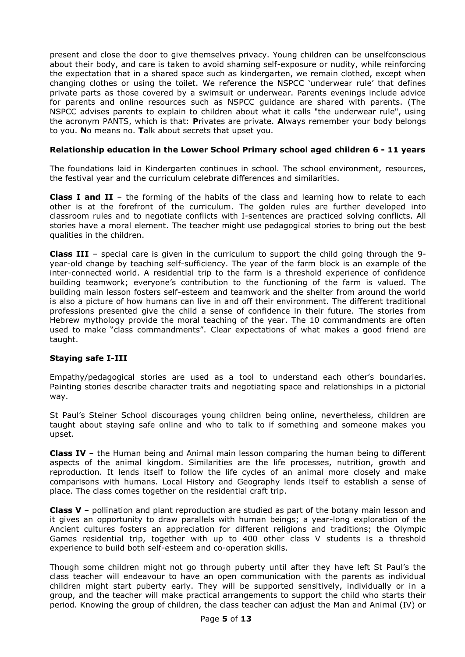present and close the door to give themselves privacy. Young children can be unselfconscious about their body, and care is taken to avoid shaming self-exposure or nudity, while reinforcing the expectation that in a shared space such as kindergarten, we remain clothed, except when changing clothes or using the toilet. We reference the NSPCC 'underwear rule' that defines private parts as those covered by a swimsuit or underwear. Parents evenings include advice for parents and online resources such as NSPCC guidance are shared with parents. (The NSPCC advises parents to explain to children about what it calls "the underwear rule", using the acronym PANTS, which is that: **P**rivates are private. **A**lways remember your body belongs to you. **N**o means no. **T**alk about secrets that upset you.

# **Relationship education in the Lower School Primary school aged children 6 - 11 years**

The foundations laid in Kindergarten continues in school. The school environment, resources, the festival year and the curriculum celebrate differences and similarities.

**Class I and II** – the forming of the habits of the class and learning how to relate to each other is at the forefront of the curriculum. The golden rules are further developed into classroom rules and to negotiate conflicts with I-sentences are practiced solving conflicts. All stories have a moral element. The teacher might use pedagogical stories to bring out the best qualities in the children.

**Class III** – special care is given in the curriculum to support the child going through the 9 year-old change by teaching self-sufficiency. The year of the farm block is an example of the inter-connected world. A residential trip to the farm is a threshold experience of confidence building teamwork; everyone's contribution to the functioning of the farm is valued. The building main lesson fosters self-esteem and teamwork and the shelter from around the world is also a picture of how humans can live in and off their environment. The different traditional professions presented give the child a sense of confidence in their future. The stories from Hebrew mythology provide the moral teaching of the year. The 10 commandments are often used to make "class commandments". Clear expectations of what makes a good friend are taught.

# **Staying safe I-III**

Empathy/pedagogical stories are used as a tool to understand each other's boundaries. Painting stories describe character traits and negotiating space and relationships in a pictorial way.

St Paul's Steiner School discourages young children being online, nevertheless, children are taught about staying safe online and who to talk to if something and someone makes you upset.

**Class IV** – the Human being and Animal main lesson comparing the human being to different aspects of the animal kingdom. Similarities are the life processes, nutrition, growth and reproduction. It lends itself to follow the life cycles of an animal more closely and make comparisons with humans. Local History and Geography lends itself to establish a sense of place. The class comes together on the residential craft trip.

**Class V** – pollination and plant reproduction are studied as part of the botany main lesson and it gives an opportunity to draw parallels with human beings; a year-long exploration of the Ancient cultures fosters an appreciation for different religions and traditions; the Olympic Games residential trip, together with up to 400 other class V students is a threshold experience to build both self-esteem and co-operation skills.

Though some children might not go through puberty until after they have left St Paul's the class teacher will endeavour to have an open communication with the parents as individual children might start puberty early. They will be supported sensitively, individually or in a group, and the teacher will make practical arrangements to support the child who starts their period. Knowing the group of children, the class teacher can adjust the Man and Animal (IV) or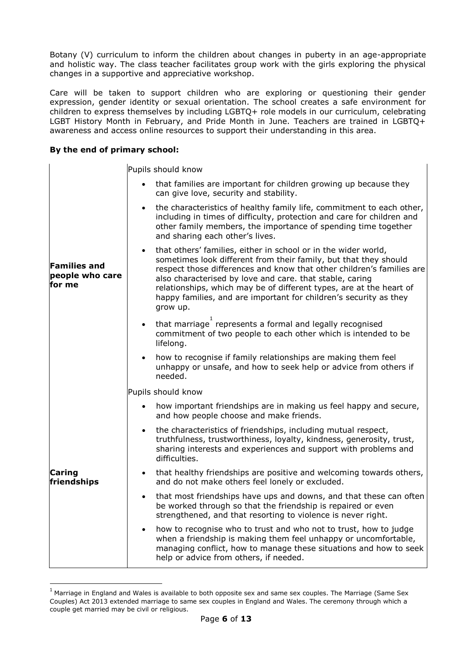Botany (V) curriculum to inform the children about changes in puberty in an age-appropriate and holistic way. The class teacher facilitates group work with the girls exploring the physical changes in a supportive and appreciative workshop.

Care will be taken to support children who are exploring or questioning their gender expression, gender identity or sexual orientation. The school creates a safe environment for children to express themselves by including LGBTQ+ role models in our curriculum, celebrating LGBT History Month in February, and Pride Month in June. Teachers are trained in LGBTQ+ awareness and access online resources to support their understanding in this area.

## **By the end of primary school:**

l

|                                                  | Pupils should know                                                                                                                                                                                                                                                                                                                                                                                                                           |
|--------------------------------------------------|----------------------------------------------------------------------------------------------------------------------------------------------------------------------------------------------------------------------------------------------------------------------------------------------------------------------------------------------------------------------------------------------------------------------------------------------|
| <b>Families and</b><br>people who care<br>for me | that families are important for children growing up because they<br>can give love, security and stability.                                                                                                                                                                                                                                                                                                                                   |
|                                                  | the characteristics of healthy family life, commitment to each other,<br>$\bullet$<br>including in times of difficulty, protection and care for children and<br>other family members, the importance of spending time together<br>and sharing each other's lives.                                                                                                                                                                            |
|                                                  | that others' families, either in school or in the wider world,<br>$\bullet$<br>sometimes look different from their family, but that they should<br>respect those differences and know that other children's families are<br>also characterised by love and care. that stable, caring<br>relationships, which may be of different types, are at the heart of<br>happy families, and are important for children's security as they<br>grow up. |
|                                                  | that marriage represents a formal and legally recognised<br>$\bullet$<br>commitment of two people to each other which is intended to be<br>lifelong.                                                                                                                                                                                                                                                                                         |
|                                                  | how to recognise if family relationships are making them feel<br>$\bullet$<br>unhappy or unsafe, and how to seek help or advice from others if<br>needed.                                                                                                                                                                                                                                                                                    |
|                                                  | Pupils should know                                                                                                                                                                                                                                                                                                                                                                                                                           |
| <b>Caring</b><br>friendships                     | how important friendships are in making us feel happy and secure,<br>and how people choose and make friends.                                                                                                                                                                                                                                                                                                                                 |
|                                                  | the characteristics of friendships, including mutual respect,<br>$\bullet$<br>truthfulness, trustworthiness, loyalty, kindness, generosity, trust,<br>sharing interests and experiences and support with problems and<br>difficulties.                                                                                                                                                                                                       |
|                                                  | that healthy friendships are positive and welcoming towards others,<br>$\bullet$<br>and do not make others feel lonely or excluded.                                                                                                                                                                                                                                                                                                          |
|                                                  | that most friendships have ups and downs, and that these can often<br>$\bullet$<br>be worked through so that the friendship is repaired or even<br>strengthened, and that resorting to violence is never right.                                                                                                                                                                                                                              |
|                                                  | how to recognise who to trust and who not to trust, how to judge<br>$\bullet$<br>when a friendship is making them feel unhappy or uncomfortable,<br>managing conflict, how to manage these situations and how to seek<br>help or advice from others, if needed.                                                                                                                                                                              |

 $1$  Marriage in England and Wales is available to both opposite sex and same sex couples. The Marriage (Same Sex Couples) Act 2013 extended marriage to same sex couples in England and Wales. The ceremony through which a couple get married may be civil or religious.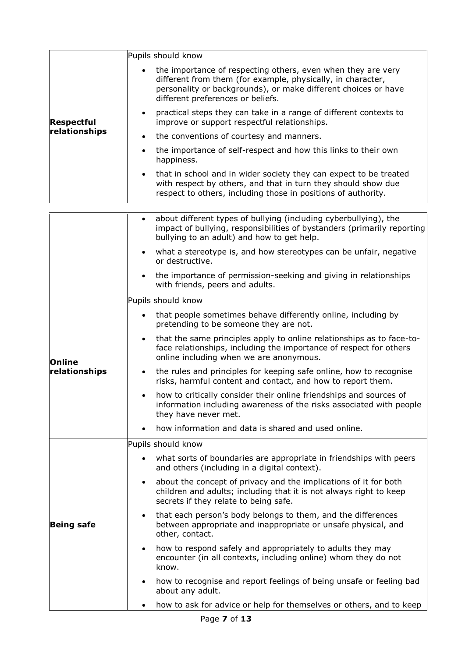|                   | Pupils should know                                                                                                                                                                                                                 |  |
|-------------------|------------------------------------------------------------------------------------------------------------------------------------------------------------------------------------------------------------------------------------|--|
| Respectful        | the importance of respecting others, even when they are very<br>different from them (for example, physically, in character,<br>personality or backgrounds), or make different choices or have<br>different preferences or beliefs. |  |
|                   | practical steps they can take in a range of different contexts to<br>$\bullet$<br>improve or support respectful relationships.                                                                                                     |  |
| relationships     | the conventions of courtesy and manners.<br>$\bullet$                                                                                                                                                                              |  |
|                   | the importance of self-respect and how this links to their own<br>$\bullet$<br>happiness.                                                                                                                                          |  |
|                   | that in school and in wider society they can expect to be treated<br>$\bullet$<br>with respect by others, and that in turn they should show due<br>respect to others, including those in positions of authority.                   |  |
|                   |                                                                                                                                                                                                                                    |  |
|                   | about different types of bullying (including cyberbullying), the<br>$\bullet$<br>impact of bullying, responsibilities of bystanders (primarily reporting<br>bullying to an adult) and how to get help.                             |  |
|                   | what a stereotype is, and how stereotypes can be unfair, negative<br>or destructive.                                                                                                                                               |  |
|                   | the importance of permission-seeking and giving in relationships<br>$\bullet$<br>with friends, peers and adults.                                                                                                                   |  |
|                   | Pupils should know                                                                                                                                                                                                                 |  |
| <b>Online</b>     | that people sometimes behave differently online, including by<br>pretending to be someone they are not.                                                                                                                            |  |
|                   | that the same principles apply to online relationships as to face-to-<br>$\bullet$<br>face relationships, including the importance of respect for others<br>online including when we are anonymous.                                |  |
| relationships     | the rules and principles for keeping safe online, how to recognise<br>$\bullet$<br>risks, harmful content and contact, and how to report them.                                                                                     |  |
|                   | how to critically consider their online friendships and sources of<br>information including awareness of the risks associated with people<br>they have never met.                                                                  |  |
|                   | how information and data is shared and used online.                                                                                                                                                                                |  |
|                   | Pupils should know                                                                                                                                                                                                                 |  |
| <b>Being safe</b> | what sorts of boundaries are appropriate in friendships with peers<br>and others (including in a digital context).                                                                                                                 |  |
|                   | about the concept of privacy and the implications of it for both<br>$\bullet$<br>children and adults; including that it is not always right to keep<br>secrets if they relate to being safe.                                       |  |
|                   | that each person's body belongs to them, and the differences<br>$\bullet$<br>between appropriate and inappropriate or unsafe physical, and<br>other, contact.                                                                      |  |
|                   | how to respond safely and appropriately to adults they may<br>$\bullet$<br>encounter (in all contexts, including online) whom they do not<br>know.                                                                                 |  |
|                   | how to recognise and report feelings of being unsafe or feeling bad<br>$\bullet$<br>about any adult.                                                                                                                               |  |
|                   | how to ask for advice or help for themselves or others, and to keep                                                                                                                                                                |  |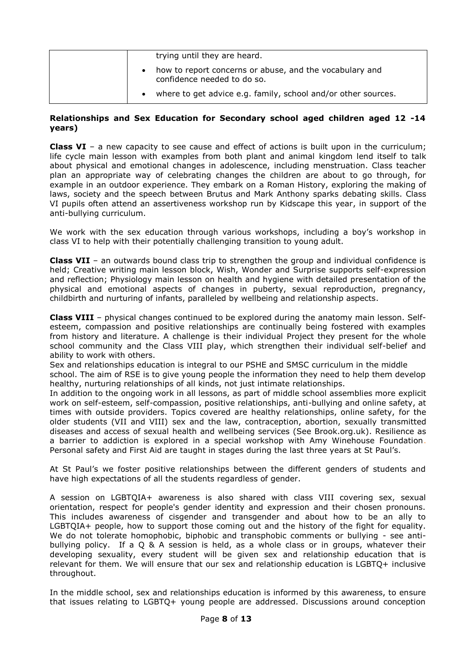| trying until they are heard.                                                           |
|----------------------------------------------------------------------------------------|
| how to report concerns or abuse, and the vocabulary and<br>confidence needed to do so. |
| where to get advice e.g. family, school and/or other sources.                          |

## **Relationships and Sex Education for Secondary school aged children aged 12 -14 years)**

**Class VI** – a new capacity to see cause and effect of actions is built upon in the curriculum; life cycle main lesson with examples from both plant and animal kingdom lend itself to talk about physical and emotional changes in adolescence, including menstruation. Class teacher plan an appropriate way of celebrating changes the children are about to go through, for example in an outdoor experience. They embark on a Roman History, exploring the making of laws, society and the speech between Brutus and Mark Anthony sparks debating skills. Class VI pupils often attend an assertiveness workshop run by Kidscape this year, in support of the anti-bullying curriculum.

We work with the sex education through various workshops, including a boy's workshop in class VI to help with their potentially challenging transition to young adult.

**Class VII** – an outwards bound class trip to strengthen the group and individual confidence is held; Creative writing main lesson block, Wish, Wonder and Surprise supports self-expression and reflection; Physiology main lesson on health and hygiene with detailed presentation of the physical and emotional aspects of changes in puberty, sexual reproduction, pregnancy, childbirth and nurturing of infants, paralleled by wellbeing and relationship aspects.

**Class VIII** – physical changes continued to be explored during the anatomy main lesson. Selfesteem, compassion and positive relationships are continually being fostered with examples from history and literature. A challenge is their individual Project they present for the whole school community and the Class VIII play, which strengthen their individual self-belief and ability to work with others.

Sex and relationships education is integral to our PSHE and SMSC curriculum in the middle school. The aim of RSE is to give young people the information they need to help them develop healthy, nurturing relationships of all kinds, not just intimate relationships.

In addition to the ongoing work in all lessons, as part of middle school assemblies more explicit work on self-esteem, self-compassion, positive relationships, anti-bullying and online safety, at times with outside providers. Topics covered are healthy relationships, online safety, for the older students (VII and VIII) sex and the law, contraception, abortion, sexually transmitted diseases and access of sexual health and wellbeing services (See Brook.org.uk). Resilience as a barrier to addiction is explored in a special workshop with Amy Winehouse Foundation. Personal safety and First Aid are taught in stages during the last three years at St Paul's.

At St Paul's we foster positive relationships between the different genders of students and have high expectations of all the students regardless of gender.

A session on LGBTQIA+ awareness is also shared with class VIII covering sex, sexual orientation, respect for people's gender identity and expression and their chosen pronouns. This includes awareness of cisgender and transgender and about how to be an ally to LGBTQIA+ people, how to support those coming out and the history of the fight for equality. We do not tolerate homophobic, biphobic and transphobic comments or bullying - see antibullying policy. If a Q & A session is held, as a whole class or in groups, whatever their developing sexuality, every student will be given sex and relationship education that is relevant for them. We will ensure that our sex and relationship education is LGBTQ+ inclusive throughout.

In the middle school, sex and relationships education is informed by this awareness, to ensure that issues relating to LGBTQ+ young people are addressed. Discussions around conception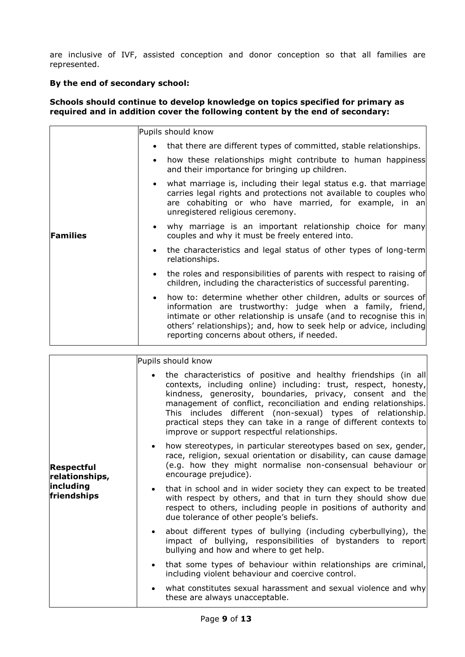are inclusive of IVF, assisted conception and donor conception so that all families are represented.

## **By the end of secondary school:**

**Families** 

## **Schools should continue to develop knowledge on topics specified for primary as required and in addition cover the following content by the end of secondary:**

Pupils should know

- that there are different types of committed, stable relationships.
- how these relationships might contribute to human happiness and their importance for bringing up children.
- what marriage is, including their legal status e.g. that marriage carries legal rights and protections not available to couples who are cohabiting or who have married, for example, in an unregistered religious ceremony.
- why marriage is an important relationship choice for many couples and why it must be freely entered into.
	- the characteristics and legal status of other types of long-term relationships.
	- the roles and responsibilities of parents with respect to raising of children, including the characteristics of successful parenting.
	- how to: determine whether other children, adults or sources of information are trustworthy: judge when a family, friend, intimate or other relationship is unsafe (and to recognise this in others' relationships); and, how to seek help or advice, including reporting concerns about others, if needed.

|                                                                 | Pupils should know                                                                                                                                                                                                                                                                                                                                                                                                                                       |
|-----------------------------------------------------------------|----------------------------------------------------------------------------------------------------------------------------------------------------------------------------------------------------------------------------------------------------------------------------------------------------------------------------------------------------------------------------------------------------------------------------------------------------------|
| <b>Respectful</b><br>relationships,<br>including<br>friendships | the characteristics of positive and healthy friendships (in all<br>contexts, including online) including: trust, respect, honesty,<br>kindness, generosity, boundaries, privacy, consent and the<br>management of conflict, reconciliation and ending relationships.<br>This includes different (non-sexual) types of relationship.<br>practical steps they can take in a range of different contexts to<br>improve or support respectful relationships. |
|                                                                 | how stereotypes, in particular stereotypes based on sex, gender,<br>$\bullet$<br>race, religion, sexual orientation or disability, can cause damage<br>(e.g. how they might normalise non-consensual behaviour or<br>encourage prejudice).                                                                                                                                                                                                               |
|                                                                 | that in school and in wider society they can expect to be treated<br>$\bullet$<br>with respect by others, and that in turn they should show due<br>respect to others, including people in positions of authority and<br>due tolerance of other people's beliefs.                                                                                                                                                                                         |
|                                                                 | about different types of bullying (including cyberbullying), the<br>$\bullet$<br>impact of bullying, responsibilities of bystanders to report<br>bullying and how and where to get help.                                                                                                                                                                                                                                                                 |
|                                                                 | that some types of behaviour within relationships are criminal,<br>$\bullet$<br>including violent behaviour and coercive control.                                                                                                                                                                                                                                                                                                                        |
|                                                                 | what constitutes sexual harassment and sexual violence and why<br>$\bullet$<br>these are always unacceptable.                                                                                                                                                                                                                                                                                                                                            |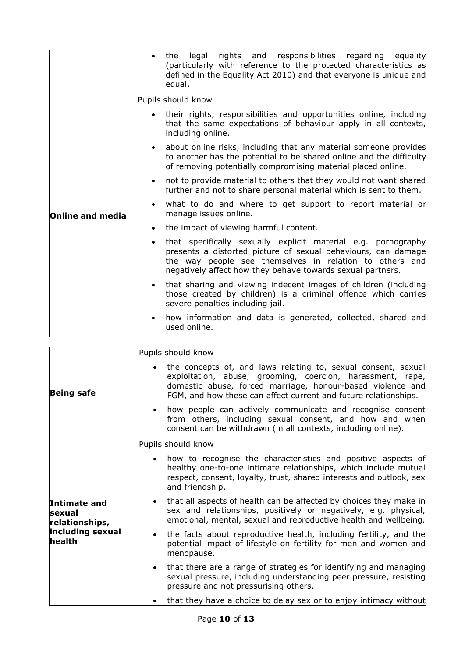|                  | legal rights and responsibilities regarding<br>equality<br>the<br>$\bullet$<br>(particularly with reference to the protected characteristics as<br>defined in the Equality Act 2010) and that everyone is unique and<br>equal.                                       |
|------------------|----------------------------------------------------------------------------------------------------------------------------------------------------------------------------------------------------------------------------------------------------------------------|
|                  | Pupils should know                                                                                                                                                                                                                                                   |
| Online and media | their rights, responsibilities and opportunities online, including<br>that the same expectations of behaviour apply in all contexts,<br>including online.                                                                                                            |
|                  | about online risks, including that any material someone provides<br>$\bullet$<br>to another has the potential to be shared online and the difficulty<br>of removing potentially compromising material placed online.                                                 |
|                  | not to provide material to others that they would not want shared<br>$\bullet$<br>further and not to share personal material which is sent to them.                                                                                                                  |
|                  | what to do and where to get support to report material or<br>$\bullet$<br>manage issues online.                                                                                                                                                                      |
|                  | the impact of viewing harmful content.<br>$\bullet$                                                                                                                                                                                                                  |
|                  | that specifically sexually explicit material e.g. pornography<br>$\bullet$<br>presents a distorted picture of sexual behaviours, can damage<br>the way people see themselves in relation to others and<br>negatively affect how they behave towards sexual partners. |
|                  | that sharing and viewing indecent images of children (including<br>$\bullet$<br>those created by children) is a criminal offence which carries<br>severe penalties including jail.                                                                                   |
|                  | how information and data is generated, collected, shared and<br>$\bullet$<br>used online.                                                                                                                                                                            |

|                                                 | Pupils should know                                                                                                                                                                                                                                             |
|-------------------------------------------------|----------------------------------------------------------------------------------------------------------------------------------------------------------------------------------------------------------------------------------------------------------------|
| <b>Being safe</b>                               | • the concepts of, and laws relating to, sexual consent, sexual<br>exploitation, abuse, grooming, coercion, harassment, rape,<br>domestic abuse, forced marriage, honour-based violence and<br>FGM, and how these can affect current and future relationships. |
|                                                 | • how people can actively communicate and recognise consent<br>from others, including sexual consent, and how and when<br>consent can be withdrawn (in all contexts, including online).                                                                        |
| Pupils should know                              |                                                                                                                                                                                                                                                                |
|                                                 | • how to recognise the characteristics and positive aspects of<br>healthy one-to-one intimate relationships, which include mutual<br>respect, consent, loyalty, trust, shared interests and outlook, sex<br>and friendship.                                    |
| <b>Intimate and</b><br>sexual<br>relationships, | • that all aspects of health can be affected by choices they make in<br>sex and relationships, positively or negatively, e.g. physical,<br>emotional, mental, sexual and reproductive health and wellbeing.                                                    |
| including sexual<br>health                      | • the facts about reproductive health, including fertility, and the<br>potential impact of lifestyle on fertility for men and women and<br>menopause.                                                                                                          |
|                                                 | that there are a range of strategies for identifying and managing<br>sexual pressure, including understanding peer pressure, resisting<br>pressure and not pressurising others.                                                                                |
|                                                 | that they have a choice to delay sex or to enjoy intimacy without                                                                                                                                                                                              |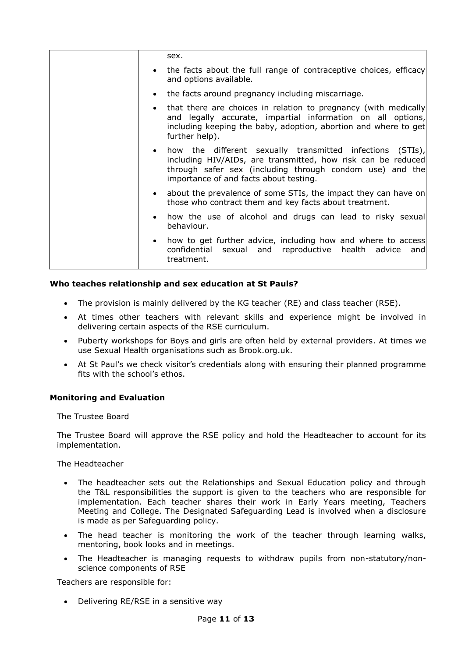| sex.                                                                                                                                                                                                                                         |
|----------------------------------------------------------------------------------------------------------------------------------------------------------------------------------------------------------------------------------------------|
| the facts about the full range of contraceptive choices, efficacy<br>$\bullet$<br>and options available.                                                                                                                                     |
| the facts around pregnancy including miscarriage.<br>$\bullet$                                                                                                                                                                               |
| that there are choices in relation to pregnancy (with medically<br>and legally accurate, impartial information on all options,<br>including keeping the baby, adoption, abortion and where to get<br>further help).                          |
| how the different sexually transmitted infections (STIs),<br>$\bullet$<br>including HIV/AIDs, are transmitted, how risk can be reduced<br>through safer sex (including through condom use) and the<br>importance of and facts about testing. |
| about the prevalence of some STIs, the impact they can have on<br>$\bullet$<br>those who contract them and key facts about treatment.                                                                                                        |
| how the use of alcohol and drugs can lead to risky sexual<br>$\bullet$<br>behaviour.                                                                                                                                                         |
| how to get further advice, including how and where to access<br>$\bullet$<br>confidential sexual and<br>reproductive health advice and<br>treatment.                                                                                         |

## **Who teaches relationship and sex education at St Pauls?**

- The provision is mainly delivered by the KG teacher (RE) and class teacher (RSE).
- At times other teachers with relevant skills and experience might be involved in delivering certain aspects of the RSE curriculum.
- Puberty workshops for Boys and girls are often held by external providers. At times we use Sexual Health organisations such as Brook.org.uk.
- At St Paul's we check visitor's credentials along with ensuring their planned programme fits with the school's ethos.

### **Monitoring and Evaluation**

The Trustee Board

The Trustee Board will approve the RSE policy and hold the Headteacher to account for its implementation.

The Headteacher

- The headteacher sets out the Relationships and Sexual Education policy and through the T&L responsibilities the support is given to the teachers who are responsible for implementation. Each teacher shares their work in Early Years meeting, Teachers Meeting and College. The Designated Safeguarding Lead is involved when a disclosure is made as per Safeguarding policy.
- The head teacher is monitoring the work of the teacher through learning walks, mentoring, book looks and in meetings.
- The Headteacher is managing requests to withdraw pupils from non-statutory/nonscience components of RSE

Teachers are responsible for:

• Delivering RE/RSE in a sensitive way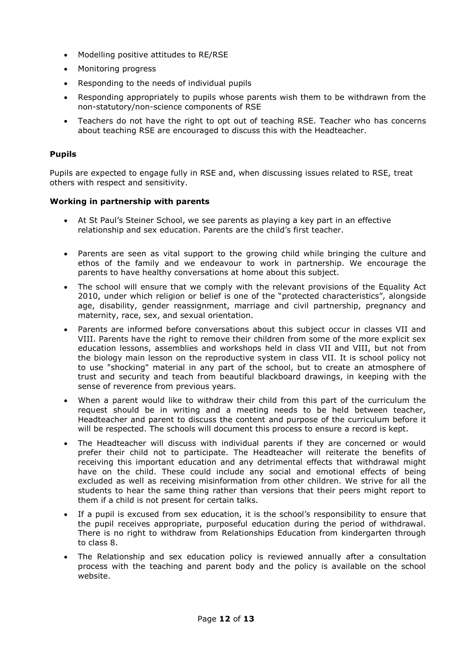- Modelling positive attitudes to RE/RSE
- Monitoring progress
- Responding to the needs of individual pupils
- Responding appropriately to pupils whose parents wish them to be withdrawn from the non-statutory/non-science components of RSE
- Teachers do not have the right to opt out of teaching RSE. Teacher who has concerns about teaching RSE are encouraged to discuss this with the Headteacher.

# **Pupils**

Pupils are expected to engage fully in RSE and, when discussing issues related to RSE, treat others with respect and sensitivity.

# **Working in partnership with parents**

- At St Paul's Steiner School, we see parents as playing a key part in an effective relationship and sex education. Parents are the child's first teacher.
- Parents are seen as vital support to the growing child while bringing the culture and ethos of the family and we endeavour to work in partnership. We encourage the parents to have healthy conversations at home about this subject.
- The school will ensure that we comply with the relevant provisions of the Equality Act 2010, under which religion or belief is one of the "protected characteristics", alongside age, disability, gender reassignment, marriage and civil partnership, pregnancy and maternity, race, sex, and sexual orientation.
- Parents are informed before conversations about this subject occur in classes VII and VIII. Parents have the right to remove their children from some of the more explicit sex education lessons, assemblies and workshops held in class VII and VIII, but not from the biology main lesson on the reproductive system in class VII. It is school policy not to use "shocking" material in any part of the school, but to create an atmosphere of trust and security and teach from beautiful blackboard drawings, in keeping with the sense of reverence from previous years.
- When a parent would like to withdraw their child from this part of the curriculum the request should be in writing and a meeting needs to be held between teacher, Headteacher and parent to discuss the content and purpose of the curriculum before it will be respected. The schools will document this process to ensure a record is kept.
- The Headteacher will discuss with individual parents if they are concerned or would prefer their child not to participate. The Headteacher will reiterate the benefits of receiving this important education and any detrimental effects that withdrawal might have on the child. These could include any social and emotional effects of being excluded as well as receiving misinformation from other children. We strive for all the students to hear the same thing rather than versions that their peers might report to them if a child is not present for certain talks.
- If a pupil is excused from sex education, it is the school's responsibility to ensure that the pupil receives appropriate, purposeful education during the period of withdrawal. There is no right to withdraw from Relationships Education from kindergarten through to class 8.
- The Relationship and sex education policy is reviewed annually after a consultation process with the teaching and parent body and the policy is available on the school website.